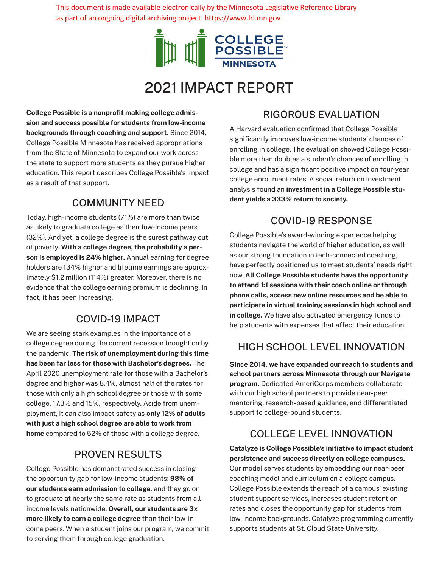This document is made available electronically by the Minnesota Legislative Reference Library as part of an ongoing digital archiving project. https://www.lrl.mn.gov



# 2021 IMPACT REPORT

**College Possible is a nonprofit making college admission and success possible for students from low-income backgrounds through coaching and support.** Since 2014, College Possible Minnesota has received appropriations from the State of Minnesota to expand our work across the state to support more students as they pursue higher education. This report describes College Possible's impact as a result of that support.

### COMMUNITY NEED

Today, high-income students (71%) are more than twice as likely to graduate college as their low-income peers (32%). And yet, a college degree is the surest pathway out of poverty. **With a college degree, the probability a person is employed is 24% higher.** Annual earning for degree holders are 134% higher and lifetime earnings are approximately \$1.2 million (114%) greater. Moreover, there is no evidence that the college earning premium is declining. In fact, it has been increasing.

## COVID-19 IMPACT

We are seeing stark examples in the importance of a college degree during the current recession brought on by the pandemic. **The risk of unemployment during this time has been far less for those with Bachelor's degrees.** The April 2020 unemployment rate for those with a Bachelor's degree and higher was 8.4%, almost half of the rates for those with only a high school degree or those with some college, 17.3% and 15%, respectively. Aside from unemployment, it can also impact safety as **only 12% of adults with just a high school degree are able to work from home** compared to 52% of those with a college degree.

## PROVEN RESULTS

College Possible has demonstrated success in closing the opportunity gap for low-income students: **98% of our students earn admission to college**, and they go on to graduate at nearly the same rate as students from all income levels nationwide. **Overall, our students are 3x more likely to earn a college degree** than their low-income peers. When a student joins our program, we commit to serving them through college graduation.

## RIGOROUS EVALUATION

A Harvard evaluation confirmed that College Possible significantly improves low-income students' chances of enrolling in college. The evaluation showed College Possible more than doubles a student's chances of enrolling in college and has a significant positive impact on four-year college enrollment rates. A social return on investment analysis found an **investment in a College Possible student yields a 333% return to society.**

## COVID-19 RESPONSE

College Possible's award-winning experience helping students navigate the world of higher education, as well as our strong foundation in tech-connected coaching, have perfectly positioned us to meet students' needs right now. **All College Possible students have the opportunity to attend 1:1 sessions with their coach online or through phone calls, access new online resources and be able to participate in virtual training sessions in high school and in college.** We have also activated emergency funds to help students with expenses that affect their education.

## HIGH SCHOOL LEVEL INNOVATION

**Since 2014, we have expanded our reach to students and school partners across Minnesota through our Navigate program.** Dedicated AmeriCorps members collaborate with our high school partners to provide near-peer mentoring, research-based guidance, and differentiated support to college-bound students.

## COLLEGE LEVEL INNOVATION

**Catalyze is College Possible's initiative to impact student persistence and success directly on college campuses.** Our model serves students by embedding our near-peer coaching model and curriculum on a college campus. College Possible extends the reach of a campus' existing student support services, increases student retention rates and closes the opportunity gap for students from low-income backgrounds. Catalyze programming currently supports students at St. Cloud State University.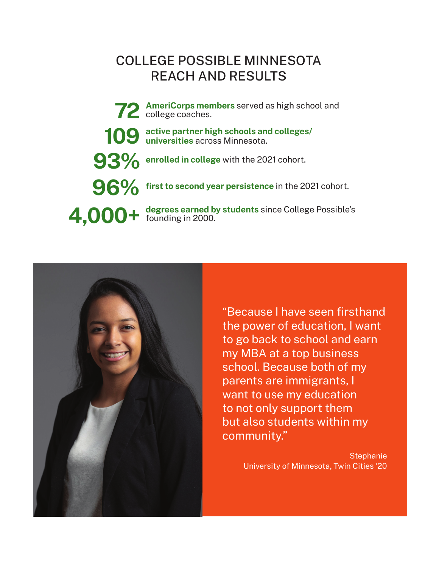## COLLEGE POSSIBLE MINNESOTA REACH AND RESULTS

**degrees earned by students** since College Possible's **4,000+** founding in 2000. **active partner high schools and colleges/ 109** active partner high schools an universities across Minnesota. **96%** first to second year persistence in the 2021 cohort. **72** AmeriCorps members served as high school and college coaches. **93% enrolled in college** with the 2021 cohort.



"Because I have seen firsthand the power of education, I want to go back to school and earn my MBA at a top business school. Because both of my parents are immigrants, I want to use my education to not only support them but also students within my community."

> **Stephanie** University of Minnesota, Twin Cities '20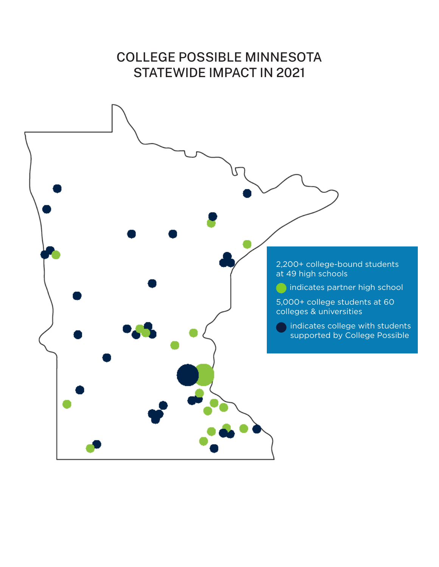# COLLEGE POSSIBLE MINNESOTA STATEWIDE IMPACT IN 2021